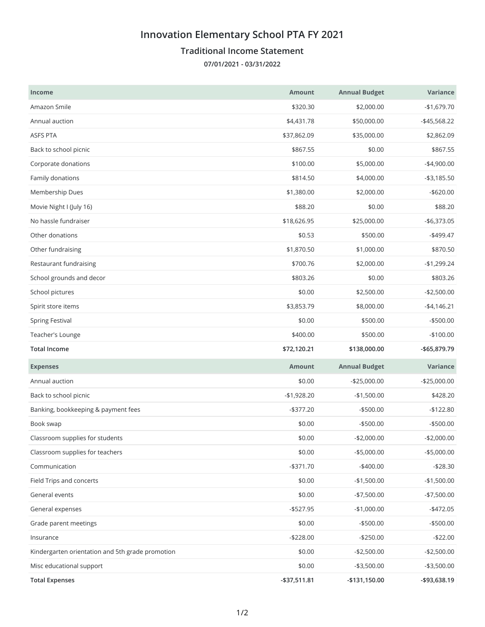## **Innovation Elementary School PTA FY 2021**

## **Traditional Income Statement**

**07/01/2021 - 03/31/2022**

| <b>Income</b>                                    | <b>Amount</b> | <b>Annual Budget</b> | Variance        |
|--------------------------------------------------|---------------|----------------------|-----------------|
| Amazon Smile                                     | \$320.30      | \$2,000.00           | $-$1,679.70$    |
| Annual auction                                   | \$4,431.78    | \$50,000.00          | $-$ \$45,568.22 |
| <b>ASFS PTA</b>                                  | \$37,862.09   | \$35,000.00          | \$2,862.09      |
| Back to school picnic                            | \$867.55      | \$0.00               | \$867.55        |
| Corporate donations                              | \$100.00      | \$5,000.00           | $-$4,900.00$    |
| Family donations                                 | \$814.50      | \$4,000.00           | $- $3,185.50$   |
| Membership Dues                                  | \$1,380.00    | \$2,000.00           | $-$620.00$      |
| Movie Night I (July 16)                          | \$88.20       | \$0.00               | \$88.20         |
| No hassle fundraiser                             | \$18,626.95   | \$25,000.00          | $-$6,373.05$    |
| Other donations                                  | \$0.53        | \$500.00             | $-$499.47$      |
| Other fundraising                                | \$1,870.50    | \$1,000.00           | \$870.50        |
| Restaurant fundraising                           | \$700.76      | \$2,000.00           | $-$1,299.24$    |
| School grounds and decor                         | \$803.26      | \$0.00               | \$803.26        |
| School pictures                                  | \$0.00        | \$2,500.00           | $-$2,500.00$    |
| Spirit store items                               | \$3,853.79    | \$8,000.00           | $-$4,146.21$    |
| <b>Spring Festival</b>                           | \$0.00        | \$500.00             | $-$500.00$      |
| Teacher's Lounge                                 | \$400.00      | \$500.00             | $-$100.00$      |
|                                                  |               |                      |                 |
| <b>Total Income</b>                              | \$72,120.21   | \$138,000.00         | -\$65,879.79    |
| <b>Expenses</b>                                  | <b>Amount</b> | <b>Annual Budget</b> | Variance        |
| Annual auction                                   | \$0.00        | $-$25,000.00$        | $-$25,000.00$   |
| Back to school picnic                            | $-$1,928.20$  | $-$1,500.00$         | \$428.20        |
| Banking, bookkeeping & payment fees              | $-$ \$377.20  | $-$500.00$           | $-$122.80$      |
| Book swap                                        | \$0.00        | $-$500.00$           | $-$500.00$      |
| Classroom supplies for students                  | \$0.00        | $-$2,000.00$         | $-$2,000.00$    |
| Classroom supplies for teachers                  | \$0.00        | $-$5,000.00$         | $-$5,000.00$    |
| Communication                                    | $- $371.70$   | $-$400.00$           | $-$28.30$       |
| Field Trips and concerts                         | \$0.00        | $-$1,500.00$         | $-$1,500.00$    |
| General events                                   | \$0.00        | $-$7,500.00$         | $-$7,500.00$    |
| General expenses                                 | $-$ \$527.95  | $-$1,000.00$         | $-$472.05$      |
| Grade parent meetings                            | \$0.00        | $-$500.00$           | $- $500.00$     |
| Insurance                                        | $-$228.00$    | $-$250.00$           | $-$22.00$       |
| Kindergarten orientation and 5th grade promotion | \$0.00        | $-$2,500.00$         | $-$2,500.00$    |
| Misc educational support                         | \$0.00        | $-$3,500.00$         | $- $3,500.00$   |